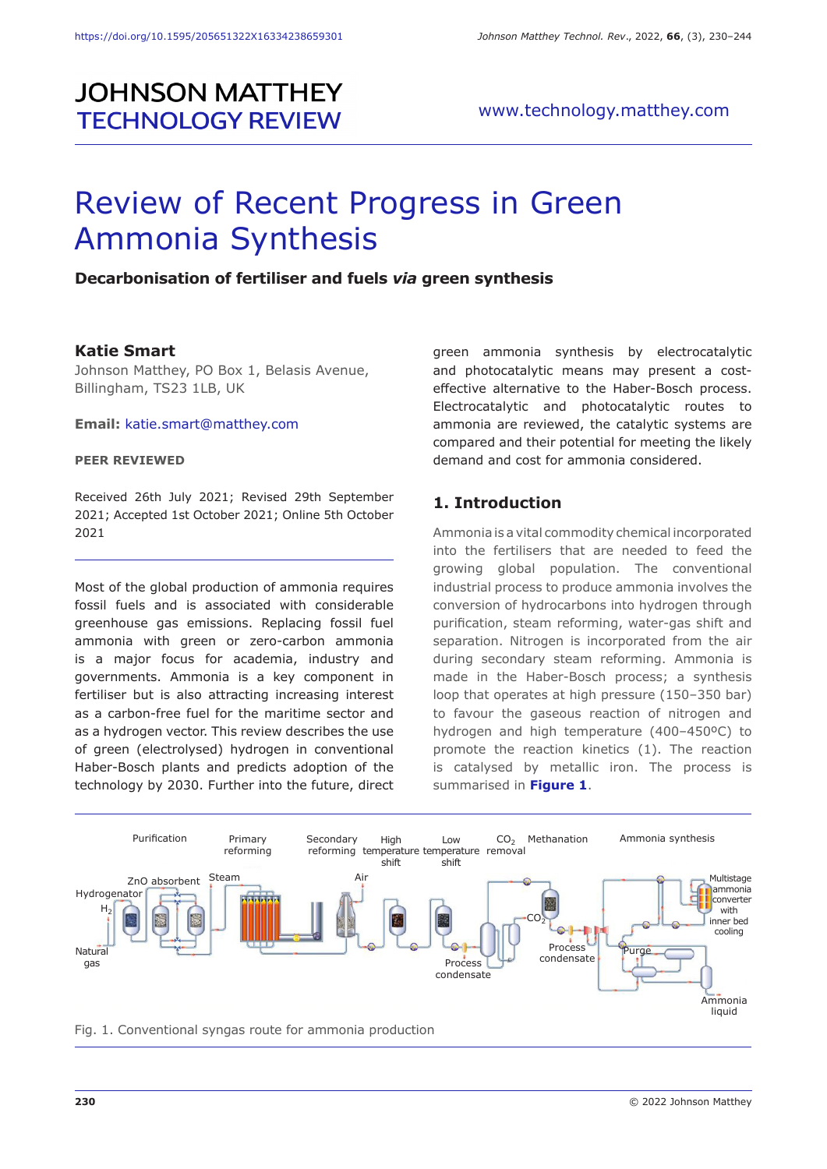# **JOHNSON MATTHEY TECHNOLOGY REVIEW**

# Review of Recent Progress in Green Ammonia Synthesis

#### **Decarbonisation of fertiliser and fuels** *via* **green synthesis**

#### **Katie Smart**

Johnson Matthey, PO Box 1, Belasis Avenue, Billingham, TS23 1LB, UK

**Email:** katie.smart@matthey.com

#### **PEER REVIEWED**

Received 26th July 2021; Revised 29th September 2021; Accepted 1st October 2021; Online 5th October 2021

Most of the global production of ammonia requires fossil fuels and is associated with considerable greenhouse gas emissions. Replacing fossil fuel ammonia with green or zero-carbon ammonia is a major focus for academia, industry and governments. Ammonia is a key component in fertiliser but is also attracting increasing interest as a carbon-free fuel for the maritime sector and as a hydrogen vector. This review describes the use of green (electrolysed) hydrogen in conventional Haber-Bosch plants and predicts adoption of the technology by 2030. Further into the future, direct green ammonia synthesis by electrocatalytic and photocatalytic means may present a costeffective alternative to the Haber-Bosch process. Electrocatalytic and photocatalytic routes to ammonia are reviewed, the catalytic systems are compared and their potential for meeting the likely demand and cost for ammonia considered.

#### **1. Introduction**

Ammonia is a vital commodity chemical incorporated into the fertilisers that are needed to feed the growing global population. The conventional industrial process to produce ammonia involves the conversion of hydrocarbons into hydrogen through purification, steam reforming, water-gas shift and separation. Nitrogen is incorporated from the air during secondary steam reforming. Ammonia is made in the Haber-Bosch process; a synthesis loop that operates at high pressure (150–350 bar) to favour the gaseous reaction of nitrogen and hydrogen and high temperature (400–450ºC) to promote the reaction kinetics (1). The reaction is catalysed by metallic iron. The process is summarised in **Figure 1**.



Fig. 1. Conventional syngas route for ammonia production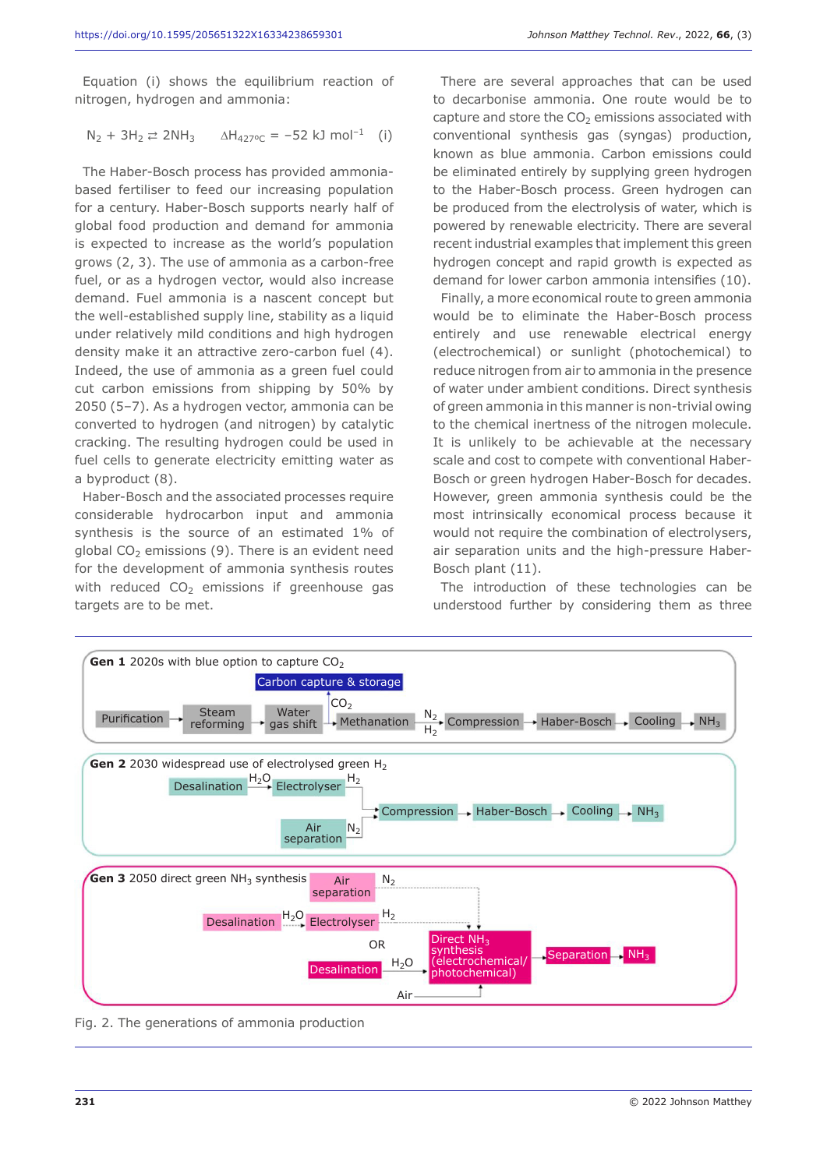Equation (i) shows the equilibrium reaction of nitrogen, hydrogen and ammonia:

$$
N_2 + 3H_2 \rightleftarrows 2NH_3
$$
  $\Delta H_{427\degree C} = -52 \text{ kJ mol}^{-1}$  (i)

The Haber-Bosch process has provided ammoniabased fertiliser to feed our increasing population for a century. Haber-Bosch supports nearly half of global food production and demand for ammonia is expected to increase as the world's population grows (2, 3). The use of ammonia as a carbon-free fuel, or as a hydrogen vector, would also increase demand. Fuel ammonia is a nascent concept but the well-established supply line, stability as a liquid under relatively mild conditions and high hydrogen density make it an attractive zero-carbon fuel (4). Indeed, the use of ammonia as a green fuel could cut carbon emissions from shipping by 50% by 2050 (5–7). As a hydrogen vector, ammonia can be converted to hydrogen (and nitrogen) by catalytic cracking. The resulting hydrogen could be used in fuel cells to generate electricity emitting water as a byproduct (8).

Haber-Bosch and the associated processes require considerable hydrocarbon input and ammonia synthesis is the source of an estimated 1% of global  $CO<sub>2</sub>$  emissions (9). There is an evident need for the development of ammonia synthesis routes with reduced  $CO<sub>2</sub>$  emissions if greenhouse gas targets are to be met.

There are several approaches that can be used to decarbonise ammonia. One route would be to capture and store the  $CO<sub>2</sub>$  emissions associated with conventional synthesis gas (syngas) production, known as blue ammonia. Carbon emissions could be eliminated entirely by supplying green hydrogen to the Haber-Bosch process. Green hydrogen can be produced from the electrolysis of water, which is powered by renewable electricity. There are several recent industrial examples that implement this green hydrogen concept and rapid growth is expected as demand for lower carbon ammonia intensifies (10).

Finally, a more economical route to green ammonia would be to eliminate the Haber-Bosch process entirely and use renewable electrical energy (electrochemical) or sunlight (photochemical) to reduce nitrogen from air to ammonia in the presence of water under ambient conditions. Direct synthesis of green ammonia in this manner is non-trivial owing to the chemical inertness of the nitrogen molecule. It is unlikely to be achievable at the necessary scale and cost to compete with conventional Haber-Bosch or green hydrogen Haber-Bosch for decades. However, green ammonia synthesis could be the most intrinsically economical process because it would not require the combination of electrolysers, air separation units and the high-pressure Haber-Bosch plant (11).

The introduction of these technologies can be understood further by considering them as three



Fig. 2. The generations of ammonia production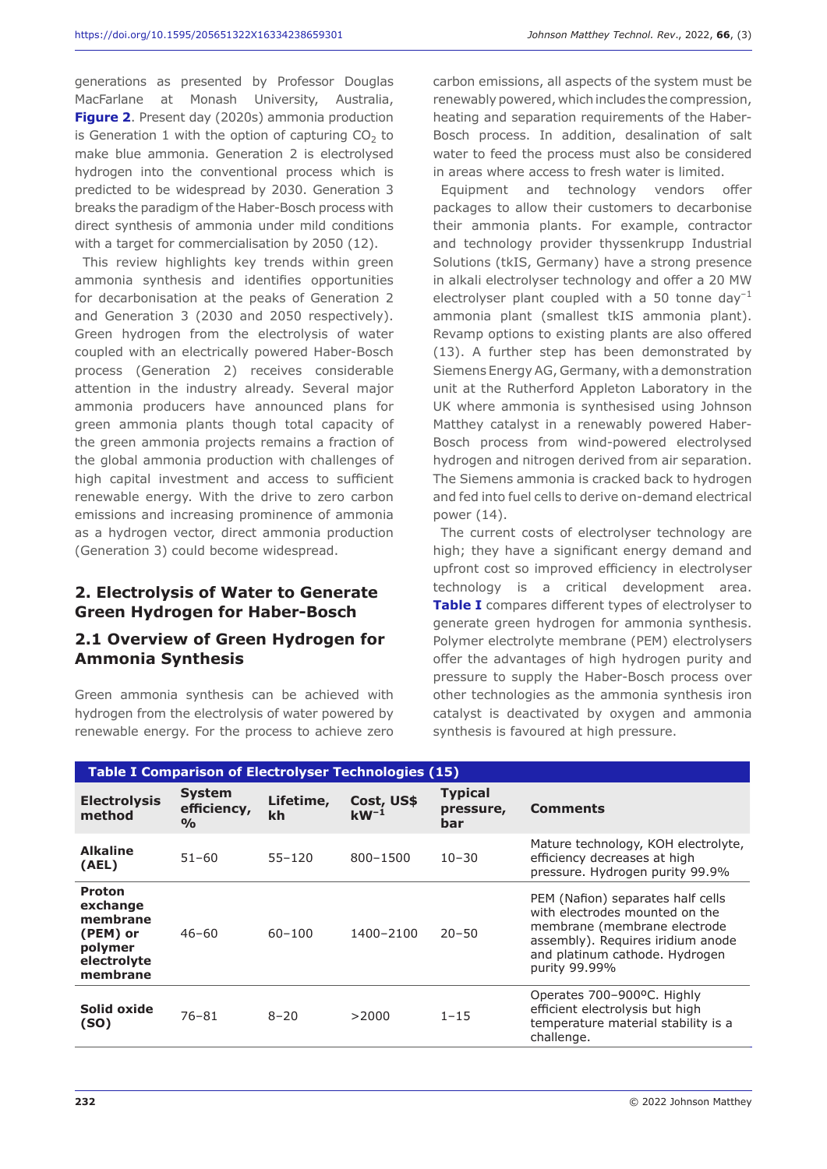generations as presented by Professor Douglas MacFarlane at Monash University, Australia, **Figure 2**. Present day (2020s) ammonia production is Generation 1 with the option of capturing  $CO<sub>2</sub>$  to make blue ammonia. Generation 2 is electrolysed hydrogen into the conventional process which is predicted to be widespread by 2030. Generation 3 breaks the paradigm of the Haber-Bosch process with direct synthesis of ammonia under mild conditions with a target for commercialisation by 2050 (12).

This review highlights key trends within green ammonia synthesis and identifies opportunities for decarbonisation at the peaks of Generation 2 and Generation 3 (2030 and 2050 respectively). Green hydrogen from the electrolysis of water coupled with an electrically powered Haber-Bosch process (Generation 2) receives considerable attention in the industry already. Several major ammonia producers have announced plans for green ammonia plants though total capacity of the green ammonia projects remains a fraction of the global ammonia production with challenges of high capital investment and access to sufficient renewable energy. With the drive to zero carbon emissions and increasing prominence of ammonia as a hydrogen vector, direct ammonia production (Generation 3) could become widespread.

#### **2. Electrolysis of Water to Generate Green Hydrogen for Haber-Bosch**

#### **2.1 Overview of Green Hydrogen for Ammonia Synthesis**

Green ammonia synthesis can be achieved with hydrogen from the electrolysis of water powered by renewable energy. For the process to achieve zero carbon emissions, all aspects of the system must be renewably powered, which includes the compression, heating and separation requirements of the Haber-Bosch process. In addition, desalination of salt water to feed the process must also be considered in areas where access to fresh water is limited.

Equipment and technology vendors offer packages to allow their customers to decarbonise their ammonia plants. For example, contractor and technology provider thyssenkrupp Industrial Solutions (tkIS, Germany) have a strong presence in alkali electrolyser technology and offer a 20 MW electrolyser plant coupled with a 50 tonne day<sup>-1</sup> ammonia plant (smallest tkIS ammonia plant). Revamp options to existing plants are also offered (13). A further step has been demonstrated by Siemens Energy AG, Germany, with a demonstration unit at the Rutherford Appleton Laboratory in the UK where ammonia is synthesised using Johnson Matthey catalyst in a renewably powered Haber-Bosch process from wind-powered electrolysed hydrogen and nitrogen derived from air separation. The Siemens ammonia is cracked back to hydrogen and fed into fuel cells to derive on-demand electrical power (14).

The current costs of electrolyser technology are high; they have a significant energy demand and upfront cost so improved efficiency in electrolyser technology is a critical development area. **Table I** compares different types of electrolyser to generate green hydrogen for ammonia synthesis. Polymer electrolyte membrane (PEM) electrolysers offer the advantages of high hydrogen purity and pressure to supply the Haber-Bosch process over other technologies as the ammonia synthesis iron catalyst is deactivated by oxygen and ammonia synthesis is favoured at high pressure.

| <b>Table I Comparison of Electrolyser Technologies (15)</b>                             |                                               |                 |                         |                                    |                                                                                                                                                                                             |  |  |
|-----------------------------------------------------------------------------------------|-----------------------------------------------|-----------------|-------------------------|------------------------------------|---------------------------------------------------------------------------------------------------------------------------------------------------------------------------------------------|--|--|
| <b>Electrolysis</b><br>method                                                           | <b>System</b><br>efficiency,<br>$\frac{O}{O}$ | Lifetime,<br>kh | Cost, US\$<br>$kW^{-1}$ | <b>Typical</b><br>pressure,<br>bar | <b>Comments</b>                                                                                                                                                                             |  |  |
| <b>Alkaline</b><br>(AEL)                                                                | $51 - 60$                                     | $55 - 120$      | 800-1500                | $10 - 30$                          | Mature technology, KOH electrolyte,<br>efficiency decreases at high<br>pressure. Hydrogen purity 99.9%                                                                                      |  |  |
| <b>Proton</b><br>exchange<br>membrane<br>(PEM) or<br>polymer<br>electrolyte<br>membrane | $46 - 60$                                     | $60 - 100$      | 1400-2100               | $20 - 50$                          | PEM (Nafion) separates half cells<br>with electrodes mounted on the<br>membrane (membrane electrode<br>assembly). Requires iridium anode<br>and platinum cathode. Hydrogen<br>purity 99.99% |  |  |
| Solid oxide<br>(SO)                                                                     | $76 - 81$                                     | $8 - 20$        | >2000                   | $1 - 15$                           | Operates 700-900°C. Highly<br>efficient electrolysis but high<br>temperature material stability is a<br>challenge.                                                                          |  |  |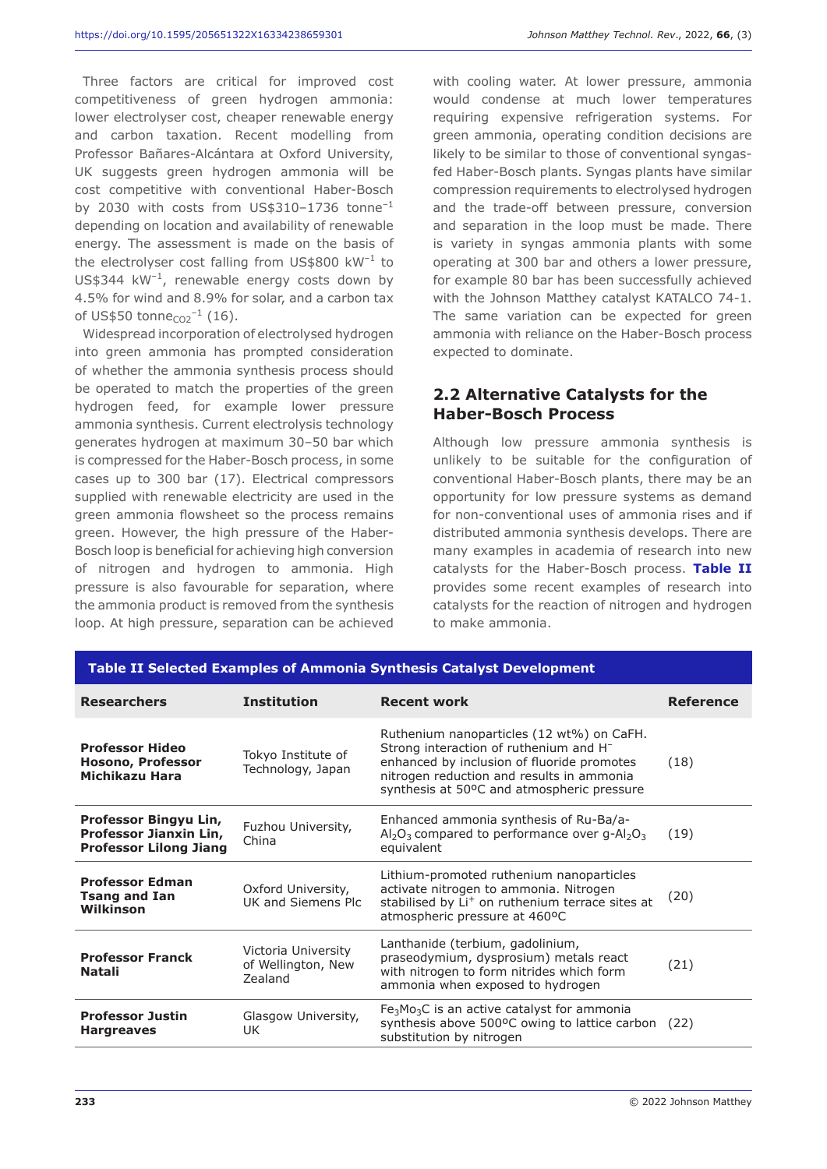Three factors are critical for improved cost competitiveness of green hydrogen ammonia: lower electrolyser cost, cheaper renewable energy and carbon taxation. Recent modelling from Professor Bañares-Alcántara at Oxford University, UK suggests green hydrogen ammonia will be cost competitive with conventional Haber-Bosch by 2030 with costs from US\$310-1736 tonne<sup>-1</sup> depending on location and availability of renewable energy. The assessment is made on the basis of the electrolyser cost falling from US\$800 kW–1 to US\$344  $kW^{-1}$ , renewable energy costs down by 4.5% for wind and 8.9% for solar, and a carbon tax of US\$50 tonne $_{CO2}^{-1}$  (16).

Widespread incorporation of electrolysed hydrogen into green ammonia has prompted consideration of whether the ammonia synthesis process should be operated to match the properties of the green hydrogen feed, for example lower pressure ammonia synthesis. Current electrolysis technology generates hydrogen at maximum 30–50 bar which is compressed for the Haber-Bosch process, in some cases up to 300 bar (17). Electrical compressors supplied with renewable electricity are used in the green ammonia flowsheet so the process remains green. However, the high pressure of the Haber-Bosch loop is beneficial for achieving high conversion of nitrogen and hydrogen to ammonia. High pressure is also favourable for separation, where the ammonia product is removed from the synthesis loop. At high pressure, separation can be achieved

with cooling water. At lower pressure, ammonia would condense at much lower temperatures requiring expensive refrigeration systems. For green ammonia, operating condition decisions are likely to be similar to those of conventional syngasfed Haber-Bosch plants. Syngas plants have similar compression requirements to electrolysed hydrogen and the trade-off between pressure, conversion and separation in the loop must be made. There is variety in syngas ammonia plants with some operating at 300 bar and others a lower pressure, for example 80 bar has been successfully achieved with the Johnson Matthey catalyst KATALCO 74-1. The same variation can be expected for green ammonia with reliance on the Haber-Bosch process expected to dominate.

# **2.2 Alternative Catalysts for the Haber-Bosch Process**

Although low pressure ammonia synthesis is unlikely to be suitable for the configuration of conventional Haber-Bosch plants, there may be an opportunity for low pressure systems as demand for non-conventional uses of ammonia rises and if distributed ammonia synthesis develops. There are many examples in academia of research into new catalysts for the Haber-Bosch process. **Table II** provides some recent examples of research into catalysts for the reaction of nitrogen and hydrogen to make ammonia.

| Table II Selected Examples of Ammonia Synthesis Catalyst Development             |                                                      |                                                                                                                                                                                                                                          |                  |  |  |
|----------------------------------------------------------------------------------|------------------------------------------------------|------------------------------------------------------------------------------------------------------------------------------------------------------------------------------------------------------------------------------------------|------------------|--|--|
| <b>Researchers</b>                                                               | <b>Institution</b>                                   | <b>Recent work</b>                                                                                                                                                                                                                       | <b>Reference</b> |  |  |
| <b>Professor Hideo</b><br>Hosono, Professor<br>Michikazu Hara                    | Tokyo Institute of<br>Technology, Japan              | Ruthenium nanoparticles (12 wt%) on CaFH.<br>Strong interaction of ruthenium and H <sup>-</sup><br>enhanced by inclusion of fluoride promotes<br>nitrogen reduction and results in ammonia<br>synthesis at 50°C and atmospheric pressure | (18)             |  |  |
| Professor Bingyu Lin,<br>Professor Jianxin Lin,<br><b>Professor Lilong Jiang</b> | Fuzhou University,<br>China                          | Enhanced ammonia synthesis of Ru-Ba/a-<br>$\text{Al}_2\text{O}_3$ compared to performance over g-Al <sub>2</sub> O <sub>3</sub><br>equivalent                                                                                            | (19)             |  |  |
| <b>Professor Edman</b><br><b>Tsang and Ian</b><br>Wilkinson                      | Oxford University,<br>UK and Siemens Plc             | Lithium-promoted ruthenium nanoparticles<br>activate nitrogen to ammonia. Nitrogen<br>stabilised by Li <sup>+</sup> on ruthenium terrace sites at<br>atmospheric pressure at 460°C                                                       | (20)             |  |  |
| <b>Professor Franck</b><br><b>Natali</b>                                         | Victoria University<br>of Wellington, New<br>Zealand | Lanthanide (terbium, gadolinium,<br>praseodymium, dysprosium) metals react<br>with nitrogen to form nitrides which form<br>ammonia when exposed to hydrogen                                                                              | (21)             |  |  |
| <b>Professor Justin</b><br><b>Hargreaves</b>                                     | Glasgow University,<br>UK                            | $Fe3Mo3C$ is an active catalyst for ammonia<br>synthesis above 500°C owing to lattice carbon<br>substitution by nitrogen                                                                                                                 | (22)             |  |  |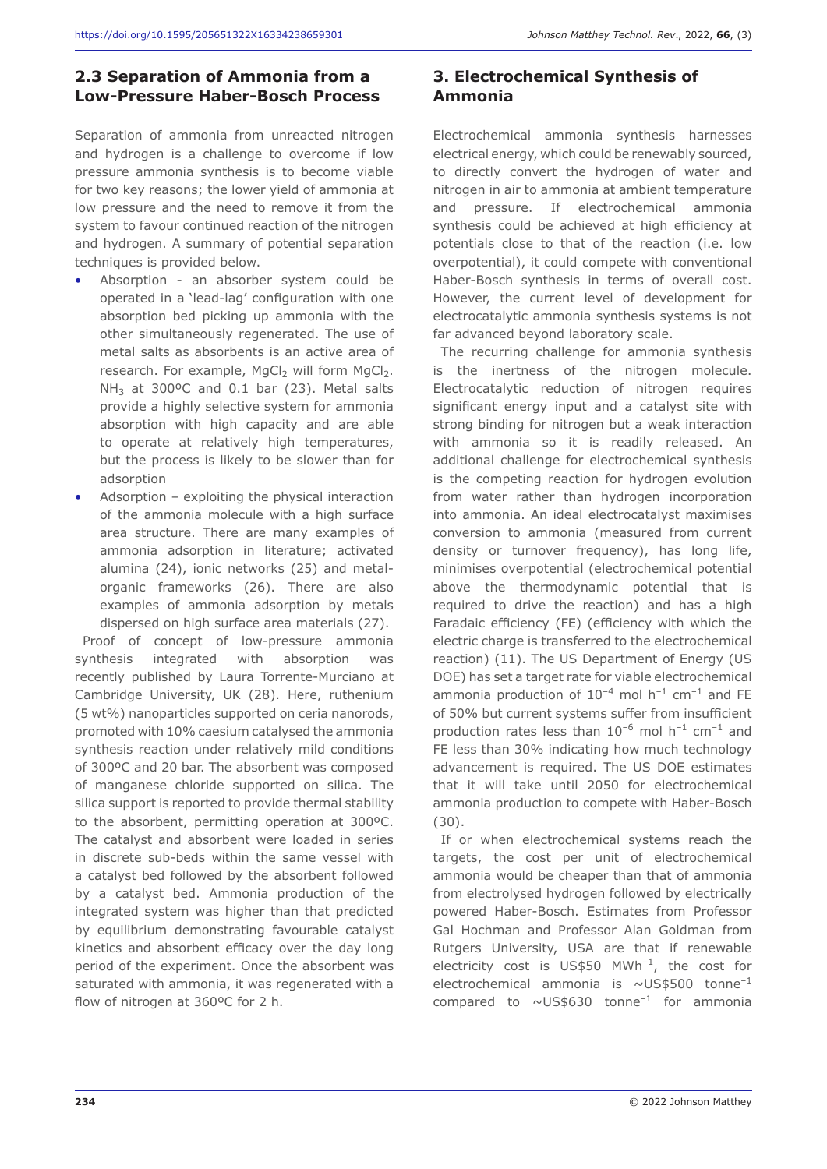#### **2.3 Separation of Ammonia from a Low-Pressure Haber-Bosch Process**

Separation of ammonia from unreacted nitrogen and hydrogen is a challenge to overcome if low pressure ammonia synthesis is to become viable for two key reasons; the lower yield of ammonia at low pressure and the need to remove it from the system to favour continued reaction of the nitrogen and hydrogen. A summary of potential separation techniques is provided below.

- Absorption an absorber system could be operated in a 'lead-lag' configuration with one absorption bed picking up ammonia with the other simultaneously regenerated. The use of metal salts as absorbents is an active area of research. For example,  $MgCl<sub>2</sub>$  will form  $MgCl<sub>2</sub>$ .  $NH<sub>3</sub>$  at 300°C and 0.1 bar (23). Metal salts provide a highly selective system for ammonia absorption with high capacity and are able to operate at relatively high temperatures, but the process is likely to be slower than for adsorption
- Adsorption exploiting the physical interaction of the ammonia molecule with a high surface area structure. There are many examples of ammonia adsorption in literature; activated alumina (24), ionic networks (25) and metalorganic frameworks (26). There are also examples of ammonia adsorption by metals dispersed on high surface area materials (27).

Proof of concept of low-pressure ammonia synthesis integrated with absorption was recently published by Laura Torrente-Murciano at Cambridge University, UK (28). Here, ruthenium (5 wt%) nanoparticles supported on ceria nanorods, promoted with 10% caesium catalysed the ammonia synthesis reaction under relatively mild conditions of 300ºC and 20 bar. The absorbent was composed of manganese chloride supported on silica. The silica support is reported to provide thermal stability to the absorbent, permitting operation at 300ºC. The catalyst and absorbent were loaded in series in discrete sub-beds within the same vessel with a catalyst bed followed by the absorbent followed by a catalyst bed. Ammonia production of the integrated system was higher than that predicted by equilibrium demonstrating favourable catalyst kinetics and absorbent efficacy over the day long period of the experiment. Once the absorbent was saturated with ammonia, it was regenerated with a flow of nitrogen at 360ºC for 2 h.

# **3. Electrochemical Synthesis of Ammonia**

Electrochemical ammonia synthesis harnesses electrical energy, which could be renewably sourced, to directly convert the hydrogen of water and nitrogen in air to ammonia at ambient temperature and pressure. If electrochemical ammonia synthesis could be achieved at high efficiency at potentials close to that of the reaction (i.e. low overpotential), it could compete with conventional Haber-Bosch synthesis in terms of overall cost. However, the current level of development for electrocatalytic ammonia synthesis systems is not far advanced beyond laboratory scale.

The recurring challenge for ammonia synthesis is the inertness of the nitrogen molecule. Electrocatalytic reduction of nitrogen requires significant energy input and a catalyst site with strong binding for nitrogen but a weak interaction with ammonia so it is readily released. An additional challenge for electrochemical synthesis is the competing reaction for hydrogen evolution from water rather than hydrogen incorporation into ammonia. An ideal electrocatalyst maximises conversion to ammonia (measured from current density or turnover frequency), has long life, minimises overpotential (electrochemical potential above the thermodynamic potential that is required to drive the reaction) and has a high Faradaic efficiency (FE) (efficiency with which the electric charge is transferred to the electrochemical reaction) (11). The US Department of Energy (US DOE) has set a target rate for viable electrochemical ammonia production of  $10^{-4}$  mol  $h^{-1}$  cm<sup>-1</sup> and FE of 50% but current systems suffer from insufficient production rates less than  $10^{-6}$  mol  $h^{-1}$  cm<sup>-1</sup> and FE less than 30% indicating how much technology advancement is required. The US DOE estimates that it will take until 2050 for electrochemical ammonia production to compete with Haber-Bosch (30).

If or when electrochemical systems reach the targets, the cost per unit of electrochemical ammonia would be cheaper than that of ammonia from electrolysed hydrogen followed by electrically powered Haber-Bosch. Estimates from Professor Gal Hochman and Professor Alan Goldman from Rutgers University, USA are that if renewable electricity cost is US\$50  $MWh^{-1}$ , the cost for electrochemical ammonia is  $\sim$ US\$500 tonne<sup>-1</sup> compared to  $\sim$  US\$630 tonne<sup>-1</sup> for ammonia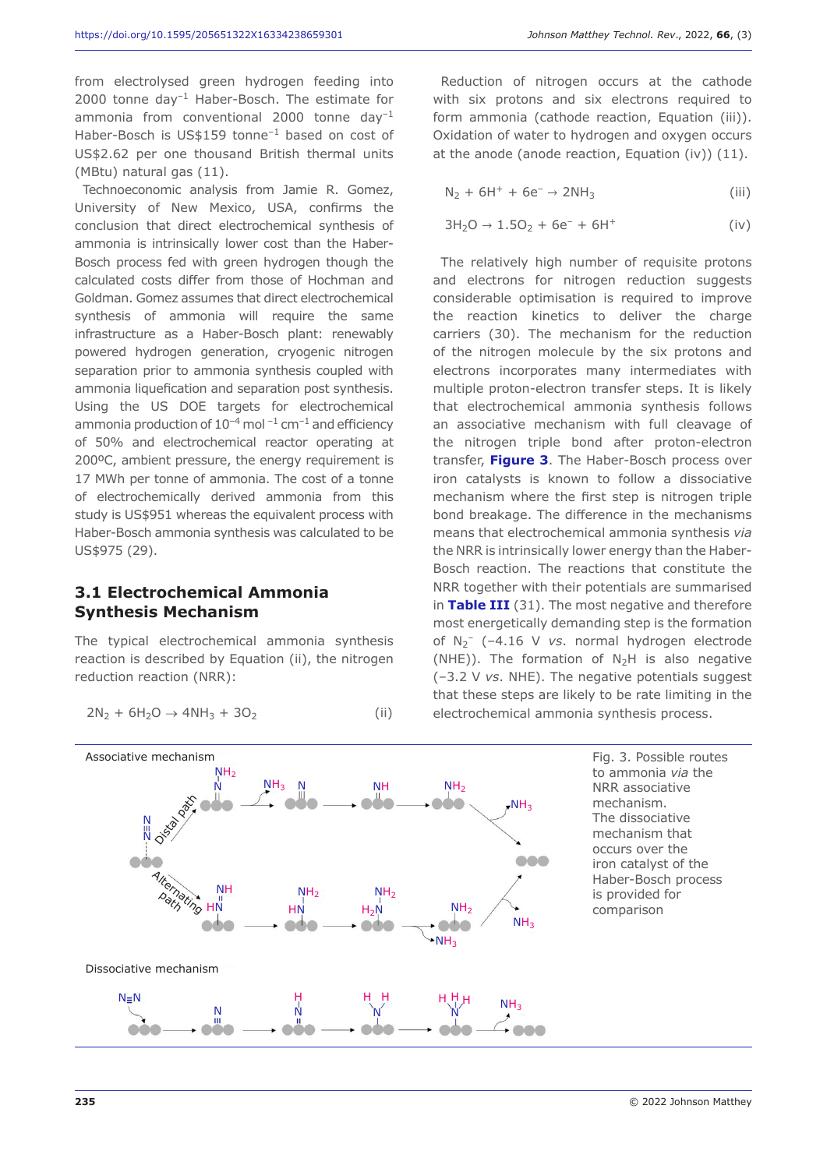from electrolysed green hydrogen feeding into 2000 tonne day $^{-1}$  Haber-Bosch. The estimate for ammonia from conventional  $2000$  tonne day<sup>-1</sup> Haber-Bosch is US\$159 tonne<sup>-1</sup> based on cost of US\$2.62 per one thousand British thermal units (MBtu) natural gas (11).

Technoeconomic analysis from Jamie R. Gomez, University of New Mexico, USA, confirms the conclusion that direct electrochemical synthesis of ammonia is intrinsically lower cost than the Haber-Bosch process fed with green hydrogen though the calculated costs differ from those of Hochman and Goldman. Gomez assumes that direct electrochemical synthesis of ammonia will require the same infrastructure as a Haber-Bosch plant: renewably powered hydrogen generation, cryogenic nitrogen separation prior to ammonia synthesis coupled with ammonia liquefication and separation post synthesis. Using the US DOE targets for electrochemical ammonia production of  $10^{-4}$  mol  $^{-1}$  cm<sup>-1</sup> and efficiency of 50% and electrochemical reactor operating at 200ºC, ambient pressure, the energy requirement is 17 MWh per tonne of ammonia. The cost of a tonne of electrochemically derived ammonia from this study is US\$951 whereas the equivalent process with Haber-Bosch ammonia synthesis was calculated to be US\$975 (29).

#### **3.1 Electrochemical Ammonia Synthesis Mechanism**

The typical electrochemical ammonia synthesis reaction is described by Equation (ii), the nitrogen reduction reaction (NRR):

$$
2N_2 + 6H_2O \rightarrow 4NH_3 + 3O_2 \tag{ii}
$$

Reduction of nitrogen occurs at the cathode with six protons and six electrons required to form ammonia (cathode reaction, Equation (iii)). Oxidation of water to hydrogen and oxygen occurs at the anode (anode reaction, Equation (iv)) (11).

$$
N_2 + 6H^+ + 6e^- \rightarrow 2NH_3 \tag{iii}
$$

$$
3H_2O \to 1.5O_2 + 6e^- + 6H^+ \tag{iv}
$$

The relatively high number of requisite protons and electrons for nitrogen reduction suggests considerable optimisation is required to improve the reaction kinetics to deliver the charge carriers (30). The mechanism for the reduction of the nitrogen molecule by the six protons and electrons incorporates many intermediates with multiple proton-electron transfer steps. It is likely that electrochemical ammonia synthesis follows an associative mechanism with full cleavage of the nitrogen triple bond after proton-electron transfer, **Figure 3**. The Haber-Bosch process over iron catalysts is known to follow a dissociative mechanism where the first step is nitrogen triple bond breakage. The difference in the mechanisms means that electrochemical ammonia synthesis *via* the NRR is intrinsically lower energy than the Haber-Bosch reaction. The reactions that constitute the NRR together with their potentials are summarised in **Table III** (31). The most negative and therefore most energetically demanding step is the formation of N2 – (–4.16 V *vs*. normal hydrogen electrode (NHE)). The formation of  $N_2H$  is also negative (–3.2 V *vs*. NHE). The negative potentials suggest that these steps are likely to be rate limiting in the electrochemical ammonia synthesis process.



Fig. 3. Possible routes to ammonia *via* the NRR associative mechanism. The dissociative mechanism that occurs over the iron catalyst of the Haber-Bosch process is provided for comparison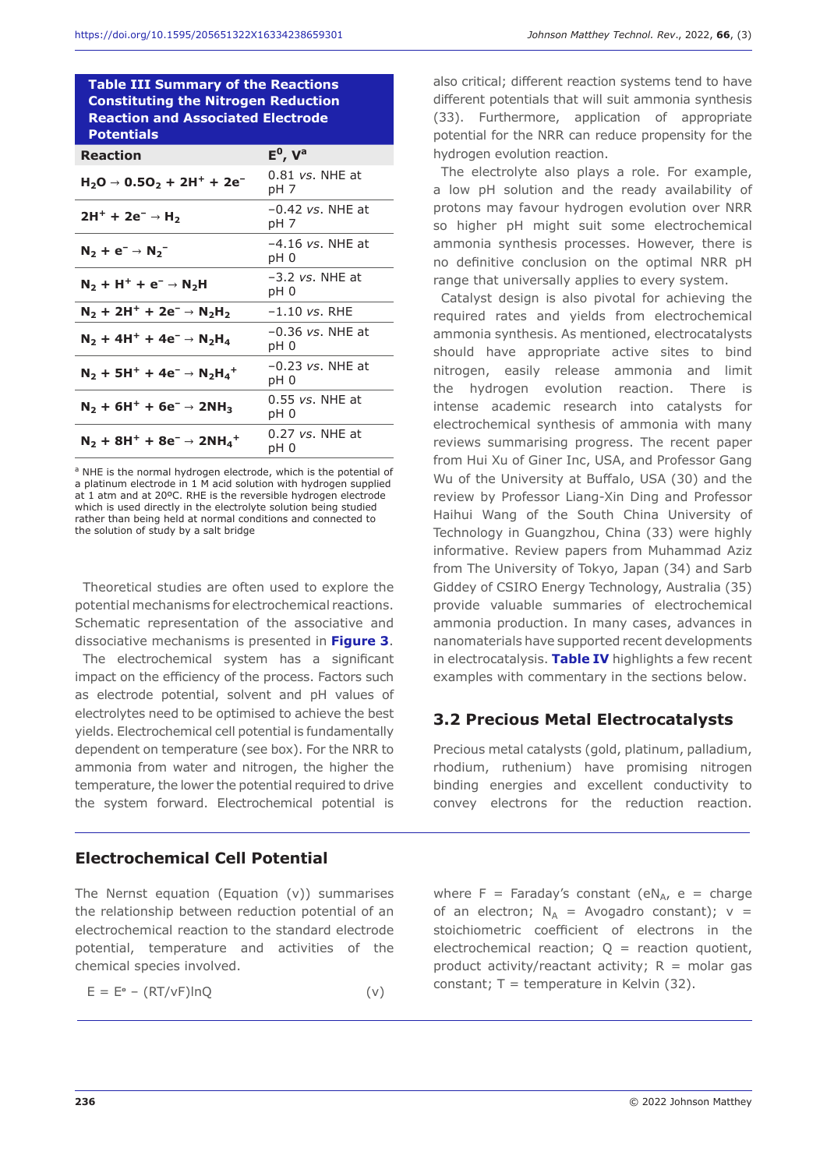**Table III Summary of the Reactions Constituting the Nitrogen Reduction Reaction and Associated Electrode Potentials** 

| <b>Reaction</b>                                                                                    | $E^0$ , $V^a$              |
|----------------------------------------------------------------------------------------------------|----------------------------|
| $H_2O \rightarrow 0.5O_2 + 2H^+ + 2e^-$                                                            | $0.81$ vs. NHE at<br>pH 7  |
| $2H^+ + 2e^- \rightarrow H_2$                                                                      | $-0.42$ vs. NHE at<br>pH 7 |
| $N_2 + e^- \rightarrow N_2^-$                                                                      | $-4.16$ vs. NHE at<br>pH 0 |
| $N_2 + H^+ + e^- \rightarrow N_2H$                                                                 | $-3.2$ vs. NHE at<br>pH 0  |
| $N_2 + 2H^+ + 2e^- \rightarrow N_2H_2$                                                             | $-1.10$ vs. RHE            |
| $N_2$ + 4H <sup>+</sup> + 4e <sup>-</sup> $\rightarrow$ N <sub>2</sub> H <sub>4</sub>              | $-0.36$ vs. NHE at<br>pH 0 |
| $N_2$ + 5H <sup>+</sup> + 4e <sup>-</sup> $\rightarrow$ N <sub>2</sub> H <sub>4</sub> <sup>+</sup> | $-0.23$ vs. NHE at<br>pH 0 |
| $N_2$ + 6H <sup>+</sup> + 6e <sup>-</sup> $\rightarrow$ 2NH <sub>3</sub>                           | $0.55$ vs. NHE at<br>pH 0  |
| $N_2 + 8H^+ + 8e^- \rightarrow 2NH_4$ <sup>+</sup>                                                 | $0.27$ vs. NHE at<br>pH 0  |

a NHE is the normal hydrogen electrode, which is the potential of a platinum electrode in 1 M acid solution with hydrogen supplied at 1 atm and at 20ºC. RHE is the reversible hydrogen electrode which is used directly in the electrolyte solution being studied rather than being held at normal conditions and connected to the solution of study by a salt bridge

Theoretical studies are often used to explore the potential mechanisms for electrochemical reactions. Schematic representation of the associative and dissociative mechanisms is presented in **Figure 3**.

The electrochemical system has a significant impact on the efficiency of the process. Factors such as electrode potential, solvent and pH values of electrolytes need to be optimised to achieve the best yields. Electrochemical cell potential is fundamentally dependent on temperature (see box). For the NRR to ammonia from water and nitrogen, the higher the temperature, the lower the potential required to drive the system forward. Electrochemical potential is

#### **Electrochemical Cell Potential**

The Nernst equation (Equation (v)) summarises the relationship between reduction potential of an electrochemical reaction to the standard electrode potential, temperature and activities of the chemical species involved.

$$
E = E^{\circ} - (RT/vF) \ln Q \tag{v}
$$

also critical; different reaction systems tend to have different potentials that will suit ammonia synthesis (33). Furthermore, application of appropriate potential for the NRR can reduce propensity for the hydrogen evolution reaction.

The electrolyte also plays a role. For example, a low pH solution and the ready availability of protons may favour hydrogen evolution over NRR so higher pH might suit some electrochemical ammonia synthesis processes. However, there is no definitive conclusion on the optimal NRR pH range that universally applies to every system.

Catalyst design is also pivotal for achieving the required rates and yields from electrochemical ammonia synthesis. As mentioned, electrocatalysts should have appropriate active sites to bind nitrogen, easily release ammonia and limit the hydrogen evolution reaction. There is intense academic research into catalysts for electrochemical synthesis of ammonia with many reviews summarising progress. The recent paper from Hui Xu of Giner Inc, USA, and Professor Gang Wu of the University at Buffalo, USA (30) and the review by Professor Liang-Xin Ding and Professor Haihui Wang of the South China University of Technology in Guangzhou, China (33) were highly informative. Review papers from Muhammad Aziz from The University of Tokyo, Japan (34) and Sarb Giddey of CSIRO Energy Technology, Australia (35) provide valuable summaries of electrochemical ammonia production. In many cases, advances in nanomaterials have supported recent developments in electrocatalysis. **Table IV** highlights a few recent examples with commentary in the sections below.

#### **3.2 Precious Metal Electrocatalysts**

Precious metal catalysts (gold, platinum, palladium, rhodium, ruthenium) have promising nitrogen binding energies and excellent conductivity to convey electrons for the reduction reaction.

where  $F = Faraday's constant (eN<sub>A</sub>, e = charge)$ of an electron;  $N_A$  = Avogadro constant);  $v =$ stoichiometric coefficient of electrons in the electrochemical reaction;  $Q =$  reaction quotient, product activity/reactant activity;  $R =$  molar gas constant;  $T =$  temperature in Kelvin (32).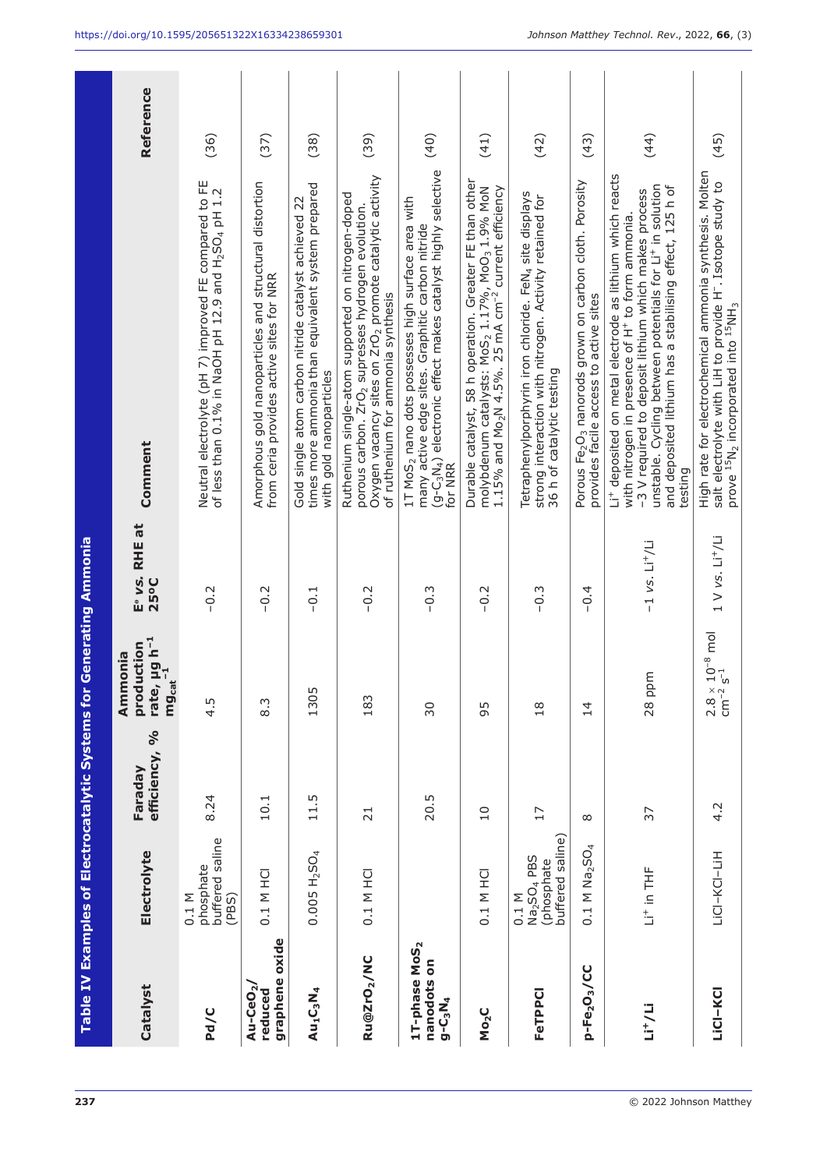|                                                           |                                                                                  | Table IV Examples of Electrocatalytic Systems for |                                                                                                | <b>Generating Ammonia</b>             |                                                                                                                                                                                                                                                                                                                                             |           |
|-----------------------------------------------------------|----------------------------------------------------------------------------------|---------------------------------------------------|------------------------------------------------------------------------------------------------|---------------------------------------|---------------------------------------------------------------------------------------------------------------------------------------------------------------------------------------------------------------------------------------------------------------------------------------------------------------------------------------------|-----------|
| Catalyst                                                  | Electrolyte                                                                      | $\delta$<br>efficiency,<br>Faraday                | rate, µg h <sup>-1</sup><br>mg   . <sup>-1</sup><br>production<br>Ammonia<br>mg <sub>cat</sub> | E <sup>®</sup> vs. RHE at<br>25°C     | Comment                                                                                                                                                                                                                                                                                                                                     | Reference |
| Pd/C                                                      | buffered saline<br>phosphate<br>$0.1$ M<br>(PBS)                                 | 8.24                                              | m<br>$\frac{1}{4}$                                                                             | $-0.2$                                | Neutral electrolyte (pH 7) improved FE compared to FE<br>of less than 0.1% in NaOH pH 12.9 and H <sub>2</sub> SO <sub>4</sub> pH 1.2                                                                                                                                                                                                        | (36)      |
| graphene oxide<br>Au-CeO <sub>2</sub><br>reduced          | 0.1 M HCI                                                                        | 10.1                                              | $8.\overline{3}$                                                                               | $-0.2$                                | Amorphous gold nanoparticles and structural distortion<br>from ceria provides active sites for NRR                                                                                                                                                                                                                                          | (37)      |
| $Au_1C_3N_4$                                              | $0.005 H_2SO_4$                                                                  | 11.5                                              | 1305                                                                                           | $-0.1$                                | times more ammonia than equivalent system prepared<br>Gold single atom carbon nitride catalyst achieved 22<br>with gold nanoparticles                                                                                                                                                                                                       | (38)      |
| Ru@ZrO <sub>2</sub> /NC                                   | 0.1 M HCI                                                                        | $\overline{21}$                                   | 183                                                                                            | $-0.2$                                | Oxygen vacancy sites on ZrO <sub>2</sub> promote catalytic activity<br>Ruthenium single-atom supported on nitrogen-doped<br>porous carbon. ZrO <sub>2</sub> supresses hydrogen evolution.<br>of ruthenium for ammonia synthesis                                                                                                             | (39)      |
| 1T-phase MoS <sub>2</sub><br>nanodots on<br>$g - C_3 N_4$ |                                                                                  | 20.5                                              | 30                                                                                             | $-0.3$                                | (g-c <sub>3</sub> N <sub>4</sub> ) electronic effect makes catalyst highly selective (40)<br>1T MoS <sub>2</sub> nano dots possesses high surface area with<br>many active edge sites. Graphitic carbon nitride<br>for NRR                                                                                                                  |           |
| Mo <sub>2</sub> C                                         | 0.1 M HCI                                                                        | $\overline{10}$                                   | 95                                                                                             | $-0.2$                                | Durable catalyst, 58 h operation. Greater FE than other<br>molybdenum catalysts: MoS <sub>2</sub> 1.17%, MoO <sub>3</sub> 1.9% MoN<br>1.15% and Mo <sub>2</sub> N 4.5%. 25 mA cm <sup>-2</sup> current efficiency                                                                                                                           | (41)      |
| FeTPPCI                                                   | buffered saline)<br>Na <sub>2</sub> SO <sub>4</sub> PBS<br>(phosphate<br>$0.1$ M | 17                                                | $\frac{8}{18}$                                                                                 | $-0.3$                                | Tetraphenylporphyrin iron chloride. FeN <sub>4</sub> site displays<br>strong interaction with nitrogen. Activity retained for<br>36 h of catalytic testing                                                                                                                                                                                  | (42)      |
| p-Fe <sub>2</sub> O <sub>3</sub> /CC                      | $0.1$ M Na <sub>2</sub> SO <sub>4</sub>                                          | $\infty$                                          | $\overline{4}$                                                                                 | $-0.4$                                | Porous Fe <sub>2</sub> O <sub>3</sub> nanorods grown on carbon cloth. Porosity<br>provides facile access to active sites                                                                                                                                                                                                                    | (43)      |
| $Li^*/Li$                                                 | Li <sup>+</sup> in THF                                                           | 37                                                | $28$ ppm                                                                                       | $-1$ vs. $Li+/Li$                     | Li <sup>+</sup> deposited on metal electrode as lithium which reacts<br>unstable. Cycling between potentials for Li <sup>+</sup> in solution<br>and deposited lithium has a stabilising effect, 125 h of<br>-3 V required to deposit lithium which makes process<br>with nitrogen in presence of H <sup>+</sup> to form ammonia.<br>testing | (44)      |
| LiCI-KCI                                                  | LICI-KCI-LIH                                                                     | 4.2                                               | $(10^{-8} \text{ mol}$<br>$2.8 \times 10^{-2}$                                                 | $1 \vee \vee s$ . Li <sup>+</sup> /Li | High rate for electrochemical ammonia synthesis. Molten<br>salt electrolyte with LiH to provide H <sup>-</sup> . Isotope study to<br>prove <sup>15</sup> N <sub>2</sub> incorporated into <sup>15</sup> NH <sub>3</sub>                                                                                                                     | (45)      |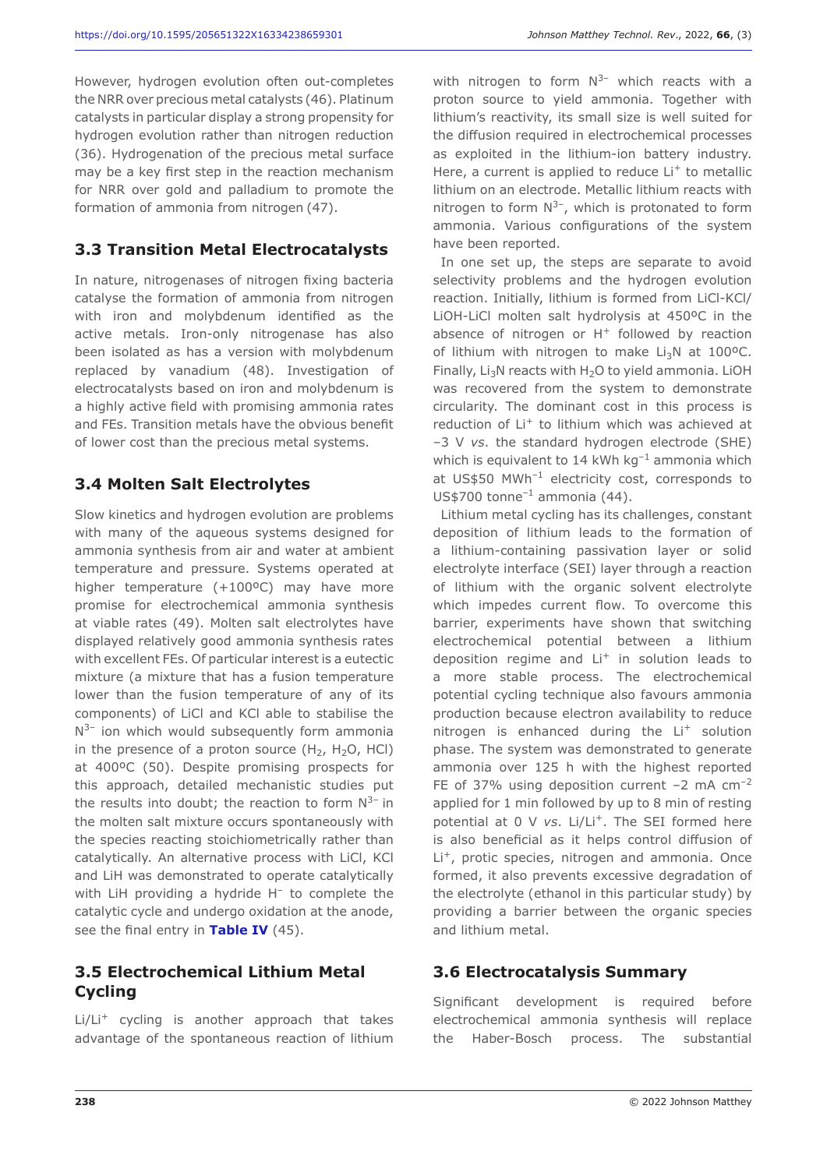However, hydrogen evolution often out-completes the NRR over precious metal catalysts (46). Platinum catalysts in particular display a strong propensity for hydrogen evolution rather than nitrogen reduction (36). Hydrogenation of the precious metal surface may be a key first step in the reaction mechanism for NRR over gold and palladium to promote the formation of ammonia from nitrogen (47).

## **3.3 Transition Metal Electrocatalysts**

In nature, nitrogenases of nitrogen fixing bacteria catalyse the formation of ammonia from nitrogen with iron and molybdenum identified as the active metals. Iron-only nitrogenase has also been isolated as has a version with molybdenum replaced by vanadium (48). Investigation of electrocatalysts based on iron and molybdenum is a highly active field with promising ammonia rates and FEs. Transition metals have the obvious benefit of lower cost than the precious metal systems.

#### **3.4 Molten Salt Electrolytes**

Slow kinetics and hydrogen evolution are problems with many of the aqueous systems designed for ammonia synthesis from air and water at ambient temperature and pressure. Systems operated at higher temperature (+100ºC) may have more promise for electrochemical ammonia synthesis at viable rates (49). Molten salt electrolytes have displayed relatively good ammonia synthesis rates with excellent FEs. Of particular interest is a eutectic mixture (a mixture that has a fusion temperature lower than the fusion temperature of any of its components) of LiCl and KCl able to stabilise the  $N^{3-}$  ion which would subsequently form ammonia in the presence of a proton source  $(H_2, H_2O, HCl)$ at 400ºC (50). Despite promising prospects for this approach, detailed mechanistic studies put the results into doubt; the reaction to form  $N^{3-}$  in the molten salt mixture occurs spontaneously with the species reacting stoichiometrically rather than catalytically. An alternative process with LiCl, KCl and LiH was demonstrated to operate catalytically with LiH providing a hydride H<sup>-</sup> to complete the catalytic cycle and undergo oxidation at the anode, see the final entry in **Table IV** (45).

#### **3.5 Electrochemical Lithium Metal Cycling**

Li/Li+ cycling is another approach that takes advantage of the spontaneous reaction of lithium with nitrogen to form  $N^{3-}$  which reacts with a proton source to yield ammonia. Together with lithium's reactivity, its small size is well suited for the diffusion required in electrochemical processes as exploited in the lithium-ion battery industry. Here, a current is applied to reduce  $Li<sup>+</sup>$  to metallic lithium on an electrode. Metallic lithium reacts with nitrogen to form  $N^{3-}$ , which is protonated to form ammonia. Various configurations of the system have been reported.

In one set up, the steps are separate to avoid selectivity problems and the hydrogen evolution reaction. Initially, lithium is formed from LiCl-KCl/ LiOH-LiCl molten salt hydrolysis at 450ºC in the absence of nitrogen or  $H^+$  followed by reaction of lithium with nitrogen to make  $Li<sub>3</sub>N$  at 100°C. Finally,  $Li<sub>3</sub>N$  reacts with H<sub>2</sub>O to yield ammonia. LiOH was recovered from the system to demonstrate circularity. The dominant cost in this process is reduction of Li<sup>+</sup> to lithium which was achieved at –3 V *vs*. the standard hydrogen electrode (SHE) which is equivalent to 14 kWh  $kg^{-1}$  ammonia which at US\$50 MWh–1 electricity cost, corresponds to US\$700 tonne<sup>-1</sup> ammonia  $(44)$ .

Lithium metal cycling has its challenges, constant deposition of lithium leads to the formation of a lithium-containing passivation layer or solid electrolyte interface (SEI) layer through a reaction of lithium with the organic solvent electrolyte which impedes current flow. To overcome this barrier, experiments have shown that switching electrochemical potential between a lithium deposition regime and  $Li<sup>+</sup>$  in solution leads to a more stable process. The electrochemical potential cycling technique also favours ammonia production because electron availability to reduce nitrogen is enhanced during the Li<sup>+</sup> solution phase. The system was demonstrated to generate ammonia over 125 h with the highest reported FE of 37% using deposition current  $-2$  mA cm<sup>-2</sup> applied for 1 min followed by up to 8 min of resting potential at 0 V vs. Li/Li<sup>+</sup>. The SEI formed here is also beneficial as it helps control diffusion of Li<sup>+</sup>, protic species, nitrogen and ammonia. Once formed, it also prevents excessive degradation of the electrolyte (ethanol in this particular study) by providing a barrier between the organic species and lithium metal.

#### **3.6 Electrocatalysis Summary**

Significant development is required before electrochemical ammonia synthesis will replace the Haber-Bosch process. The substantial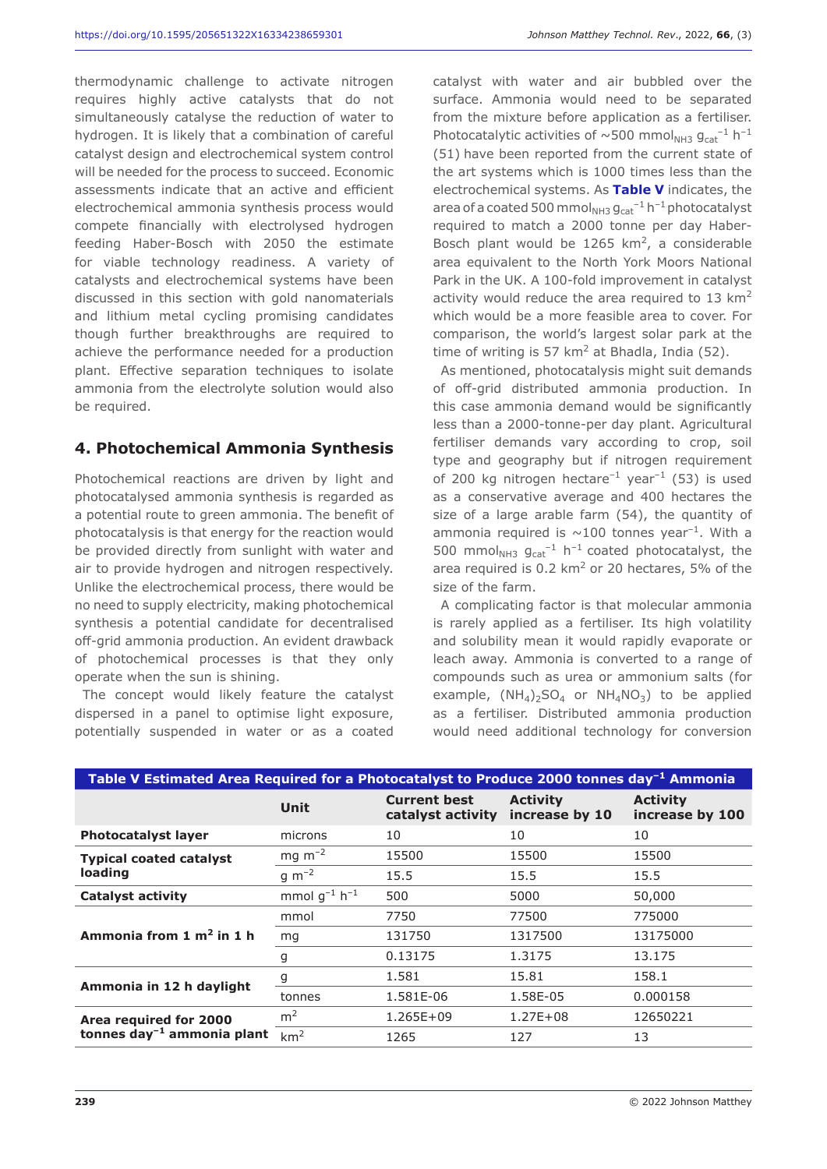thermodynamic challenge to activate nitrogen requires highly active catalysts that do not simultaneously catalyse the reduction of water to hydrogen. It is likely that a combination of careful catalyst design and electrochemical system control will be needed for the process to succeed. Economic assessments indicate that an active and efficient electrochemical ammonia synthesis process would compete financially with electrolysed hydrogen feeding Haber-Bosch with 2050 the estimate for viable technology readiness. A variety of catalysts and electrochemical systems have been discussed in this section with gold nanomaterials and lithium metal cycling promising candidates though further breakthroughs are required to achieve the performance needed for a production plant. Effective separation techniques to isolate ammonia from the electrolyte solution would also be required.

#### **4. Photochemical Ammonia Synthesis**

Photochemical reactions are driven by light and photocatalysed ammonia synthesis is regarded as a potential route to green ammonia. The benefit of photocatalysis is that energy for the reaction would be provided directly from sunlight with water and air to provide hydrogen and nitrogen respectively. Unlike the electrochemical process, there would be no need to supply electricity, making photochemical synthesis a potential candidate for decentralised off-grid ammonia production. An evident drawback of photochemical processes is that they only operate when the sun is shining.

The concept would likely feature the catalyst dispersed in a panel to optimise light exposure, potentially suspended in water or as a coated

catalyst with water and air bubbled over the surface. Ammonia would need to be separated from the mixture before application as a fertiliser. Photocatalytic activities of  $\sim$  500 mmol<sub>NH3</sub>  $g_{cat}^{-1}$  h<sup>-1</sup> (51) have been reported from the current state of the art systems which is 1000 times less than the electrochemical systems. As **Table V** indicates, the area of a coated 500 mmol $_{NH3}$   $g_{cat}^{-1}$  h<sup>-1</sup> photocatalyst required to match a 2000 tonne per day Haber-Bosch plant would be  $1265 \text{ km}^2$ , a considerable area equivalent to the North York Moors National Park in the UK. A 100-fold improvement in catalyst activity would reduce the area required to 13  $km<sup>2</sup>$ which would be a more feasible area to cover. For comparison, the world's largest solar park at the time of writing is 57  $km^2$  at Bhadla, India (52).

As mentioned, photocatalysis might suit demands of off-grid distributed ammonia production. In this case ammonia demand would be significantly less than a 2000-tonne-per day plant. Agricultural fertiliser demands vary according to crop, soil type and geography but if nitrogen requirement of 200 kg nitrogen hectare<sup>-1</sup> year<sup>-1</sup> (53) is used as a conservative average and 400 hectares the size of a large arable farm (54), the quantity of ammonia required is  $\sim$ 100 tonnes year<sup>-1</sup>. With a 500 mmol $_{NH3}$   $g_{cat}^{-1}$  h<sup>-1</sup> coated photocatalyst, the area required is  $0.2 \text{ km}^2$  or 20 hectares, 5% of the size of the farm.

A complicating factor is that molecular ammonia is rarely applied as a fertiliser. Its high volatility and solubility mean it would rapidly evaporate or leach away. Ammonia is converted to a range of compounds such as urea or ammonium salts (for example,  $(NH_4)_2SO_4$  or  $NH_4NO_3)$  to be applied as a fertiliser. Distributed ammonia production would need additional technology for conversion

| Table V Estimated Area Required for a Photocatalyst to Produce 2000 tonnes day <sup>-1</sup> Ammonia |                                  |                                          |                                   |                                    |  |
|------------------------------------------------------------------------------------------------------|----------------------------------|------------------------------------------|-----------------------------------|------------------------------------|--|
|                                                                                                      | <b>Unit</b>                      | <b>Current best</b><br>catalyst activity | <b>Activity</b><br>increase by 10 | <b>Activity</b><br>increase by 100 |  |
| <b>Photocatalyst layer</b>                                                                           | microns                          | 10                                       | 10                                | 10                                 |  |
| <b>Typical coated catalyst</b>                                                                       | $mg \, m^{-2}$                   | 15500                                    | 15500                             | 15500                              |  |
| loading                                                                                              | g $m^{-2}$                       | 15.5                                     | 15.5                              | 15.5                               |  |
| <b>Catalyst activity</b>                                                                             | mmol $q^{-1}$ h <sup>-1</sup>    | 500                                      | 5000                              | 50,000                             |  |
|                                                                                                      | mmol                             | 7750                                     | 77500                             | 775000                             |  |
| Ammonia from $1 \text{ m}^2$ in $1 \text{ h}$                                                        | mg                               | 131750                                   | 1317500                           | 13175000                           |  |
|                                                                                                      | 1.3175<br>0.13175<br>13.175<br>g |                                          |                                   |                                    |  |
|                                                                                                      | g                                | 1.581                                    | 15.81                             | 158.1                              |  |
| Ammonia in 12 h daylight                                                                             | tonnes                           | 1.581E-06                                | 1.58E-05                          | 0.000158                           |  |
| Area required for 2000                                                                               | m <sup>2</sup>                   | 1.265E+09                                | $1.27E + 08$                      | 12650221                           |  |
| tonnes $day^{-1}$ ammonia plant                                                                      | km <sup>2</sup>                  | 1265                                     | 127                               | 13                                 |  |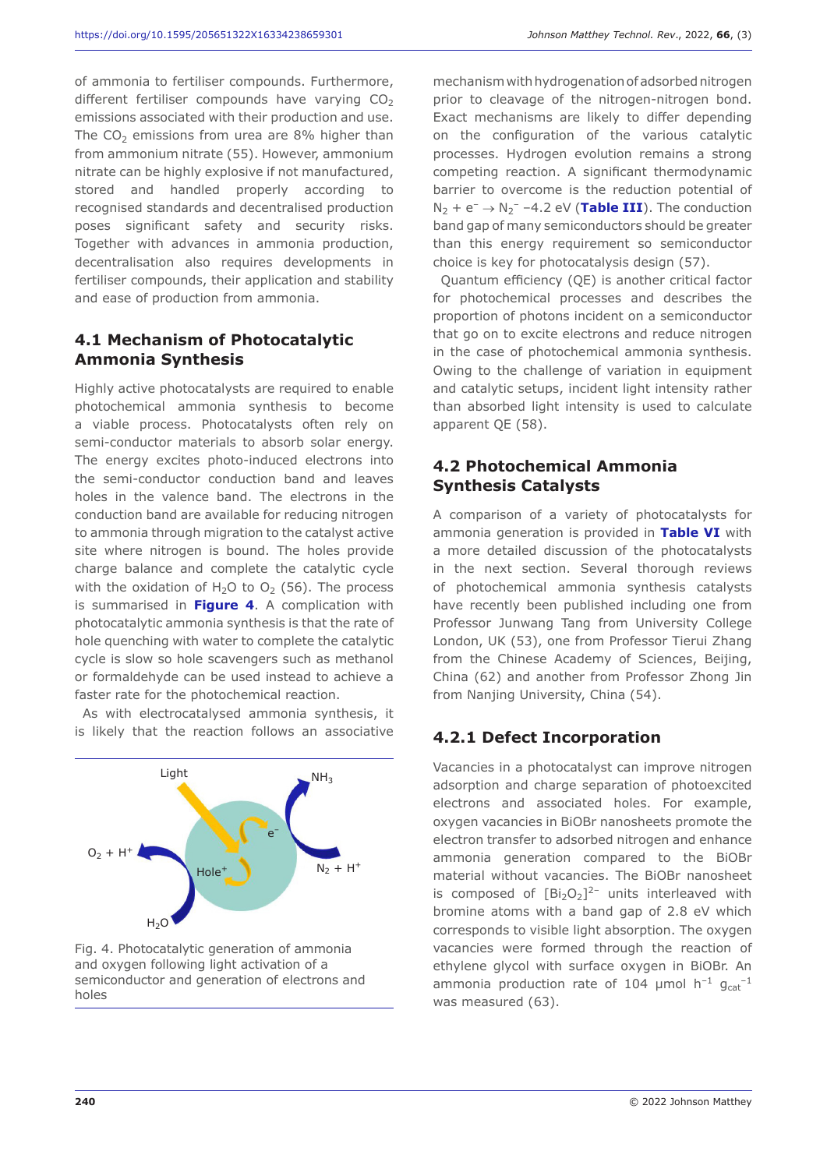of ammonia to fertiliser compounds. Furthermore, different fertiliser compounds have varying  $CO<sub>2</sub>$ emissions associated with their production and use. The  $CO<sub>2</sub>$  emissions from urea are 8% higher than from ammonium nitrate (55). However, ammonium nitrate can be highly explosive if not manufactured, stored and handled properly according to recognised standards and decentralised production poses significant safety and security risks. Together with advances in ammonia production, decentralisation also requires developments in fertiliser compounds, their application and stability and ease of production from ammonia.

# **4.1 Mechanism of Photocatalytic Ammonia Synthesis**

Highly active photocatalysts are required to enable photochemical ammonia synthesis to become a viable process. Photocatalysts often rely on semi-conductor materials to absorb solar energy. The energy excites photo-induced electrons into the semi-conductor conduction band and leaves holes in the valence band. The electrons in the conduction band are available for reducing nitrogen to ammonia through migration to the catalyst active site where nitrogen is bound. The holes provide charge balance and complete the catalytic cycle with the oxidation of  $H_2O$  to  $O_2$  (56). The process is summarised in **Figure 4**. A complication with photocatalytic ammonia synthesis is that the rate of hole quenching with water to complete the catalytic cycle is slow so hole scavengers such as methanol or formaldehyde can be used instead to achieve a faster rate for the photochemical reaction.

As with electrocatalysed ammonia synthesis, it is likely that the reaction follows an associative



Fig. 4. Photocatalytic generation of ammonia and oxygen following light activation of a semiconductor and generation of electrons and holes

mechanism with hydrogenation of adsorbed nitrogen prior to cleavage of the nitrogen-nitrogen bond. Exact mechanisms are likely to differ depending on the configuration of the various catalytic processes. Hydrogen evolution remains a strong competing reaction. A significant thermodynamic barrier to overcome is the reduction potential of  $N_2$  +  $e^ \rightarrow$   $N_2$ <sup>-</sup> -4.2 eV (**Table III**). The conduction band gap of many semiconductors should be greater than this energy requirement so semiconductor choice is key for photocatalysis design (57).

Quantum efficiency (QE) is another critical factor for photochemical processes and describes the proportion of photons incident on a semiconductor that go on to excite electrons and reduce nitrogen in the case of photochemical ammonia synthesis. Owing to the challenge of variation in equipment and catalytic setups, incident light intensity rather than absorbed light intensity is used to calculate apparent QE (58).

#### **4.2 Photochemical Ammonia Synthesis Catalysts**

A comparison of a variety of photocatalysts for ammonia generation is provided in **Table VI** with a more detailed discussion of the photocatalysts in the next section. Several thorough reviews of photochemical ammonia synthesis catalysts have recently been published including one from Professor Junwang Tang from University College London, UK (53), one from Professor Tierui Zhang from the Chinese Academy of Sciences, Beijing, China (62) and another from Professor Zhong Jin from Nanjing University, China (54).

# **4.2.1 Defect Incorporation**

Vacancies in a photocatalyst can improve nitrogen adsorption and charge separation of photoexcited electrons and associated holes. For example, oxygen vacancies in BiOBr nanosheets promote the electron transfer to adsorbed nitrogen and enhance ammonia generation compared to the BiOBr material without vacancies. The BiOBr nanosheet is composed of  $[Bi<sub>2</sub>O<sub>2</sub>]<sup>2-</sup>$  units interleaved with bromine atoms with a band gap of 2.8 eV which corresponds to visible light absorption. The oxygen vacancies were formed through the reaction of ethylene glycol with surface oxygen in BiOBr. An ammonia production rate of 104 µmol  $h^{-1}$   $g_{cat}^{-1}$ was measured (63).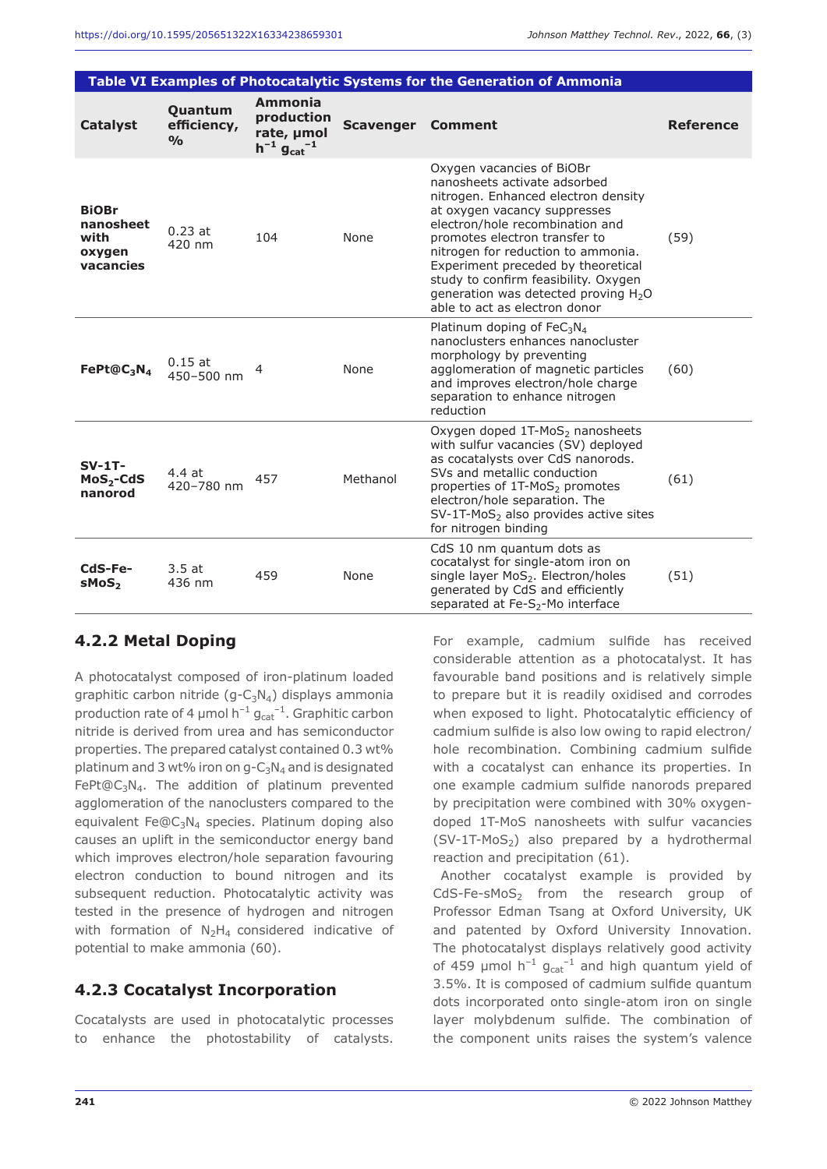| Table VI Examples of Photocatalytic Systems for the Generation of Ammonia |                                         |                                                                                |                  |                                                                                                                                                                                                                                                                                                                                                                                                               |                  |  |
|---------------------------------------------------------------------------|-----------------------------------------|--------------------------------------------------------------------------------|------------------|---------------------------------------------------------------------------------------------------------------------------------------------------------------------------------------------------------------------------------------------------------------------------------------------------------------------------------------------------------------------------------------------------------------|------------------|--|
| <b>Catalyst</b>                                                           | Quantum<br>efficiency,<br>$\frac{O}{O}$ | Ammonia<br>production<br>rate, µmol<br>$h^{-1}$ g <sub>cat</sub> <sup>-1</sup> | <b>Scavenger</b> | <b>Comment</b>                                                                                                                                                                                                                                                                                                                                                                                                | <b>Reference</b> |  |
| <b>BiOBr</b><br>nanosheet<br>with<br>oxygen<br>vacancies                  | $0.23$ at<br>420 nm                     | 104                                                                            | None             | Oxygen vacancies of BiOBr<br>nanosheets activate adsorbed<br>nitrogen. Enhanced electron density<br>at oxygen vacancy suppresses<br>electron/hole recombination and<br>promotes electron transfer to<br>nitrogen for reduction to ammonia.<br>Experiment preceded by theoretical<br>study to confirm feasibility. Oxygen<br>generation was detected proving H <sub>2</sub> O<br>able to act as electron donor | (59)             |  |
| FePt@C <sub>3</sub> N <sub>4</sub>                                        | $0.15$ at<br>450-500 nm                 | 4                                                                              | None             | Platinum doping of $FeC3N4$<br>nanoclusters enhances nanocluster<br>morphology by preventing<br>agglomeration of magnetic particles<br>and improves electron/hole charge<br>separation to enhance nitrogen<br>reduction                                                                                                                                                                                       | (60)             |  |
| $SV-1T-$<br>$MoS2-CdS$<br>nanorod                                         | 4.4at<br>420-780 nm                     | 457                                                                            | Methanol         | Oxygen doped 1T-MoS <sub>2</sub> nanosheets<br>with sulfur vacancies (SV) deployed<br>as cocatalysts over CdS nanorods.<br>SVs and metallic conduction<br>properties of 1T-MoS <sub>2</sub> promotes<br>electron/hole separation. The<br>$SV-1T-MoS2$ also provides active sites<br>for nitrogen binding                                                                                                      | (61)             |  |
| CdS-Fe-<br>sMoS <sub>2</sub>                                              | 3.5at<br>436 nm                         | 459                                                                            | None             | CdS 10 nm quantum dots as<br>cocatalyst for single-atom iron on<br>single layer MoS <sub>2</sub> . Electron/holes<br>generated by CdS and efficiently<br>separated at Fe-S <sub>2</sub> -Mo interface                                                                                                                                                                                                         | (51)             |  |

#### **4.2.2 Metal Doping**

A photocatalyst composed of iron-platinum loaded graphitic carbon nitride  $(g - C_3N_4)$  displays ammonia production rate of 4  $\mu$ mol h<sup>-1</sup>  $g_{cat}^{-1}$ . Graphitic carbon nitride is derived from urea and has semiconductor properties. The prepared catalyst contained 0.3 wt% platinum and 3 wt% iron on  $q - C_3N_4$  and is designated FePt@C<sub>3</sub>N<sub>4</sub>. The addition of platinum prevented agglomeration of the nanoclusters compared to the equivalent Fe $@C_3N_4$  species. Platinum doping also causes an uplift in the semiconductor energy band which improves electron/hole separation favouring electron conduction to bound nitrogen and its subsequent reduction. Photocatalytic activity was tested in the presence of hydrogen and nitrogen with formation of  $N_2H_4$  considered indicative of potential to make ammonia (60).

#### **4.2.3 Cocatalyst Incorporation**

Cocatalysts are used in photocatalytic processes to enhance the photostability of catalysts. For example, cadmium sulfide has received considerable attention as a photocatalyst. It has favourable band positions and is relatively simple to prepare but it is readily oxidised and corrodes when exposed to light. Photocatalytic efficiency of cadmium sulfide is also low owing to rapid electron/ hole recombination. Combining cadmium sulfide with a cocatalyst can enhance its properties. In one example cadmium sulfide nanorods prepared by precipitation were combined with 30% oxygendoped 1T-MoS nanosheets with sulfur vacancies  $(SV-1T-MoS<sub>2</sub>)$  also prepared by a hydrothermal reaction and precipitation (61).

Another cocatalyst example is provided by  $CdS-Fe-SMoS<sub>2</sub>$  from the research group of Professor Edman Tsang at Oxford University, UK and patented by Oxford University Innovation. The photocatalyst displays relatively good activity of 459  $\mu$ mol h<sup>-1</sup>  $g_{cat}$ <sup>-1</sup> and high quantum yield of 3.5%. It is composed of cadmium sulfide quantum dots incorporated onto single-atom iron on single layer molybdenum sulfide. The combination of the component units raises the system's valence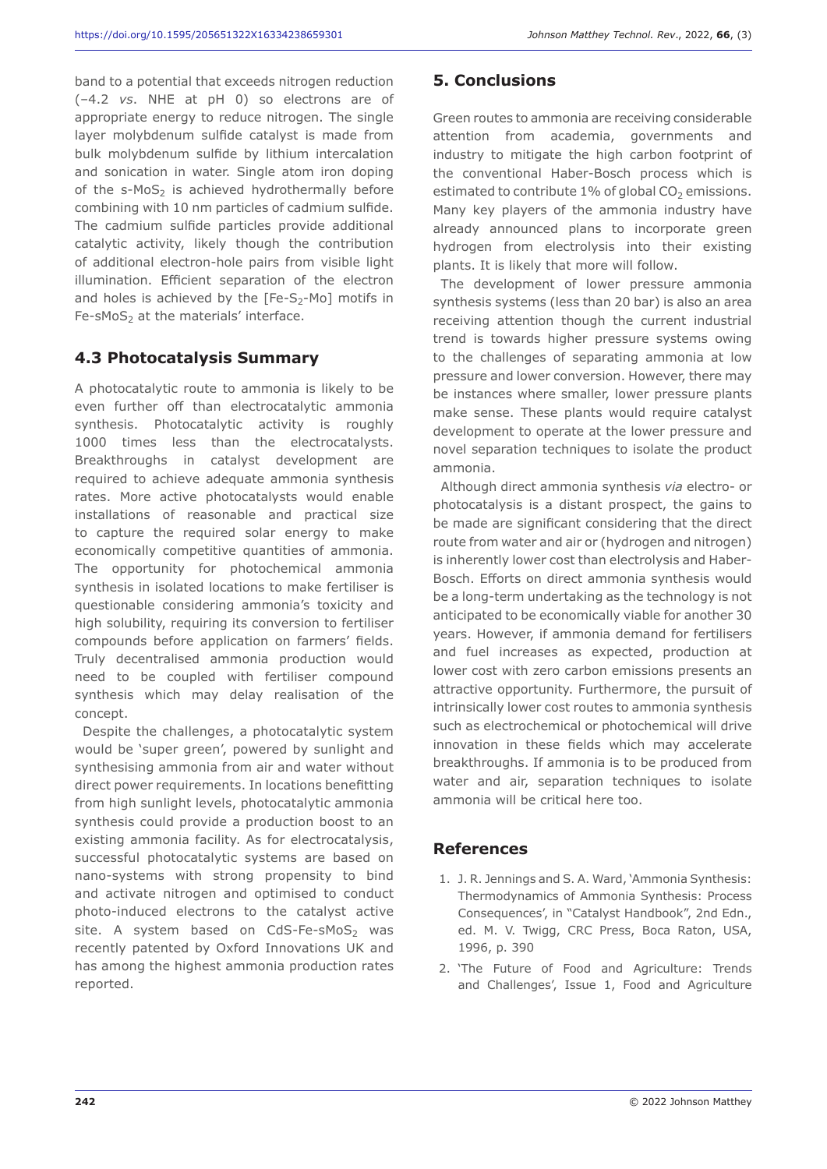band to a potential that exceeds nitrogen reduction (–4.2 *vs*. NHE at pH 0) so electrons are of appropriate energy to reduce nitrogen. The single layer molybdenum sulfide catalyst is made from bulk molybdenum sulfide by lithium intercalation and sonication in water. Single atom iron doping of the  $s-MoS<sub>2</sub>$  is achieved hydrothermally before combining with 10 nm particles of cadmium sulfide. The cadmium sulfide particles provide additional catalytic activity, likely though the contribution of additional electron-hole pairs from visible light illumination. Efficient separation of the electron and holes is achieved by the  $[Fe-S<sub>2</sub>-Mo]$  motifs in  $Fe$ -sMoS<sub>2</sub> at the materials' interface.

#### **4.3 Photocatalysis Summary**

A photocatalytic route to ammonia is likely to be even further off than electrocatalytic ammonia synthesis. Photocatalytic activity is roughly 1000 times less than the electrocatalysts. Breakthroughs in catalyst development are required to achieve adequate ammonia synthesis rates. More active photocatalysts would enable installations of reasonable and practical size to capture the required solar energy to make economically competitive quantities of ammonia. The opportunity for photochemical ammonia synthesis in isolated locations to make fertiliser is questionable considering ammonia's toxicity and high solubility, requiring its conversion to fertiliser compounds before application on farmers' fields. Truly decentralised ammonia production would need to be coupled with fertiliser compound synthesis which may delay realisation of the concept.

Despite the challenges, a photocatalytic system would be 'super green', powered by sunlight and synthesising ammonia from air and water without direct power requirements. In locations benefitting from high sunlight levels, photocatalytic ammonia synthesis could provide a production boost to an existing ammonia facility. As for electrocatalysis, successful photocatalytic systems are based on nano-systems with strong propensity to bind and activate nitrogen and optimised to conduct photo-induced electrons to the catalyst active site. A system based on  $CdS-Fe-SMoS<sub>2</sub>$  was recently patented by Oxford Innovations UK and has among the highest ammonia production rates reported.

# **5. Conclusions**

Green routes to ammonia are receiving considerable attention from academia, governments and industry to mitigate the high carbon footprint of the conventional Haber-Bosch process which is estimated to contribute 1% of global  $CO<sub>2</sub>$  emissions. Many key players of the ammonia industry have already announced plans to incorporate green hydrogen from electrolysis into their existing plants. It is likely that more will follow.

The development of lower pressure ammonia synthesis systems (less than 20 bar) is also an area receiving attention though the current industrial trend is towards higher pressure systems owing to the challenges of separating ammonia at low pressure and lower conversion. However, there may be instances where smaller, lower pressure plants make sense. These plants would require catalyst development to operate at the lower pressure and novel separation techniques to isolate the product ammonia.

Although direct ammonia synthesis *via* electro- or photocatalysis is a distant prospect, the gains to be made are significant considering that the direct route from water and air or (hydrogen and nitrogen) is inherently lower cost than electrolysis and Haber-Bosch. Efforts on direct ammonia synthesis would be a long-term undertaking as the technology is not anticipated to be economically viable for another 30 years. However, if ammonia demand for fertilisers and fuel increases as expected, production at lower cost with zero carbon emissions presents an attractive opportunity. Furthermore, the pursuit of intrinsically lower cost routes to ammonia synthesis such as electrochemical or photochemical will drive innovation in these fields which may accelerate breakthroughs. If ammonia is to be produced from water and air, separation techniques to isolate ammonia will be critical here too.

#### **References**

- 1. J. R. Jennings and S. A. Ward, 'Ammonia Synthesis: Thermodynamics of Ammonia Synthesis: Process Consequences', in "Catalyst Handbook", 2nd Edn., ed. M. V. Twigg, CRC Press, Boca Raton, USA, 1996, p. 390
- 2. 'The Future of Food and Agriculture: Trends and Challenges', Issue 1, Food and Agriculture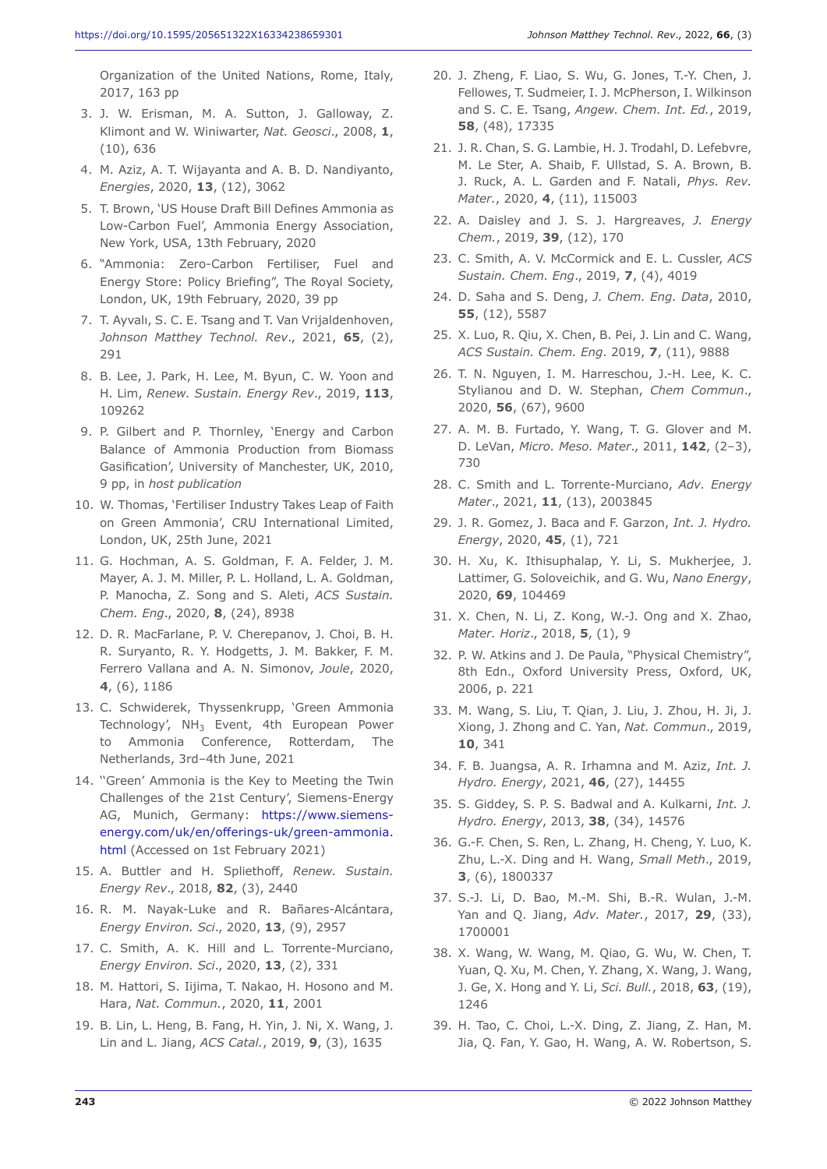Organization of the United Nations, Rome, Italy, 2017, 163 pp

- 3. J. W. Erisman, M. A. Sutton, J. Galloway, Z. Klimont and W. Winiwarter, *Nat. Geosci*., 2008, **1**, (10), 636
- 4. M. Aziz, A. T. Wijayanta and A. B. D. Nandiyanto, *Energies*, 2020, **13**, (12), 3062
- 5. T. Brown, 'US House Draft Bill Defines Ammonia as Low-Carbon Fuel', Ammonia Energy Association, New York, USA, 13th February, 2020
- 6. "Ammonia: Zero-Carbon Fertiliser, Fuel and Energy Store: Policy Briefing", The Royal Society, London, UK, 19th February, 2020, 39 pp
- 7. T. Ayvalı, S. C. E. Tsang and T. Van Vrijaldenhoven, *Johnson Matthey Technol. Rev*., 2021, **65**, (2), 291
- 8. B. Lee, J. Park, H. Lee, M. Byun, C. W. Yoon and H. Lim, *Renew. Sustain. Energy Rev*., 2019, **113**, 109262
- 9. P. Gilbert and P. Thornley, 'Energy and Carbon Balance of Ammonia Production from Biomass Gasification', University of Manchester, UK, 2010, 9 pp, in *host publication*
- 10. W. Thomas, 'Fertiliser Industry Takes Leap of Faith on Green Ammonia', CRU International Limited, London, UK, 25th June, 2021
- 11. G. Hochman, A. S. Goldman, F. A. Felder, J. M. Mayer, A. J. M. Miller, P. L. Holland, L. A. Goldman, P. Manocha, Z. Song and S. Aleti, *ACS Sustain. Chem. Eng*., 2020, **8**, (24), 8938
- 12. D. R. MacFarlane, P. V. Cherepanov, J. Choi, B. H. R. Suryanto, R. Y. Hodgetts, J. M. Bakker, F. M. Ferrero Vallana and A. N. Simonov, *Joule*, 2020, **4**, (6), 1186
- 13. C. Schwiderek, Thyssenkrupp, 'Green Ammonia Technology', NH<sub>3</sub> Event, 4th European Power to Ammonia Conference, Rotterdam, The Netherlands, 3rd–4th June, 2021
- 14. ''Green' Ammonia is the Key to Meeting the Twin Challenges of the 21st Century', Siemens-Energy AG, Munich, Germany: https://www.siemensenergy.com/uk/en/offerings-uk/green-ammonia. html (Accessed on 1st February 2021)
- 15. A. Buttler and H. Spliethoff, *Renew. Sustain. Energy Rev*., 2018, **82**, (3), 2440
- 16. R. M. Nayak-Luke and R. Bañares-Alcántara, *Energy Environ. Sci*., 2020, **13**, (9), 2957
- 17. C. Smith, A. K. Hill and L. Torrente-Murciano, *Energy Environ. Sci*., 2020, **13**, (2), 331
- 18. M. Hattori, S. Iijima, T. Nakao, H. Hosono and M. Hara, *Nat. Commun.*, 2020, **11**, 2001
- 19. B. Lin, L. Heng, B. Fang, H. Yin, J. Ni, X. Wang, J. Lin and L. Jiang, *ACS Catal.*, 2019, **9**, (3), 1635
- 20. J. Zheng, F. Liao, S. Wu, G. Jones, T.-Y. Chen, J. Fellowes, T. Sudmeier, I. J. McPherson, I. Wilkinson and S. C. E. Tsang, *Angew. Chem. Int. Ed.*, 2019, **58**, (48), 17335
- 21. J. R. Chan, S. G. Lambie, H. J. Trodahl, D. Lefebvre, M. Le Ster, A. Shaib, F. Ullstad, S. A. Brown, B. J. Ruck, A. L. Garden and F. Natali, *Phys. Rev. Mater.*, 2020, **4**, (11), 115003
- 22. A. Daisley and J. S. J. Hargreaves, *J. Energy Chem.*, 2019, **39**, (12), 170
- 23. C. Smith, A. V. McCormick and E. L. Cussler, *ACS Sustain. Chem. Eng*., 2019, **7**, (4), 4019
- 24. D. Saha and S. Deng, *J. Chem. Eng. Data*, 2010, **55**, (12), 5587
- 25. X. Luo, R. Qiu, X. Chen, B. Pei, J. Lin and C. Wang, *ACS Sustain. Chem. Eng*. 2019, **7**, (11), 9888
- 26. T. N. Nguyen, I. M. Harreschou, J.-H. Lee, K. C. Stylianou and D. W. Stephan, *Chem Commun*., 2020, **56**, (67), 9600
- 27. A. M. B. Furtado, Y. Wang, T. G. Glover and M. D. LeVan, *Micro. Meso. Mater*., 2011, **142**, (2–3), 730
- 28. C. Smith and L. Torrente-Murciano, *Adv. Energy Mater*., 2021, **11**, (13), 2003845
- 29. J. R. Gomez, J. Baca and F. Garzon, *Int. J. Hydro. Energy*, 2020, **45**, (1), 721
- 30. H. Xu, K. Ithisuphalap, Y. Li, S. Mukherjee, J. Lattimer, G. Soloveichik, and G. Wu, *Nano Energy*, 2020, **69**, 104469
- 31. X. Chen, N. Li, Z. Kong, W.-J. Ong and X. Zhao, *Mater. Horiz*., 2018, **5**, (1), 9
- 32. P. W. Atkins and J. De Paula, "Physical Chemistry", 8th Edn., Oxford University Press, Oxford, UK, 2006, p. 221
- 33. M. Wang, S. Liu, T. Qian, J. Liu, J. Zhou, H. Ji, J. Xiong, J. Zhong and C. Yan, *Nat. Commun*., 2019, **10**, 341
- 34. F. B. Juangsa, A. R. Irhamna and M. Aziz, *Int. J. Hydro. Energy*, 2021, **46**, (27), 14455
- 35. S. Giddey, S. P. S. Badwal and A. Kulkarni, *Int. J. Hydro. Energy*, 2013, **38**, (34), 14576
- 36. G.-F. Chen, S. Ren, L. Zhang, H. Cheng, Y. Luo, K. Zhu, L.-X. Ding and H. Wang, *Small Meth*., 2019, **3**, (6), 1800337
- 37. S.-J. Li, D. Bao, M.-M. Shi, B.-R. Wulan, J.-M. Yan and Q. Jiang, *Adv. Mater.*, 2017, **29**, (33), 1700001
- 38. X. Wang, W. Wang, M. Qiao, G. Wu, W. Chen, T. Yuan, Q. Xu, M. Chen, Y. Zhang, X. Wang, J. Wang, J. Ge, X. Hong and Y. Li, *Sci. Bull.*, 2018, **63**, (19), 1246
- 39. H. Tao, C. Choi, L.-X. Ding, Z. Jiang, Z. Han, M. Jia, Q. Fan, Y. Gao, H. Wang, A. W. Robertson, S.